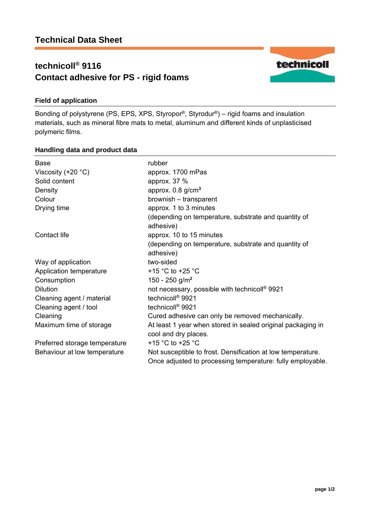# **technicoll® 9116 Contact adhesive for PS - rigid foams**



## **Field of application**

Bonding of polystyrene (PS, EPS, XPS, Styropor®, Styrodur®) – rigid foams and insulation materials, such as mineral fibre mats to metal, aluminum and different kinds of unplasticised polymeric films.

### **Handling data and product data**

| Base                          | rubber                                                                                                                    |
|-------------------------------|---------------------------------------------------------------------------------------------------------------------------|
| Viscosity $(+20 °C)$          | approx. 1700 mPas                                                                                                         |
| Solid content                 | approx. $37%$                                                                                                             |
| Density                       | approx. $0.8$ g/cm <sup>3</sup>                                                                                           |
| Colour                        | brownish - transparent                                                                                                    |
| Drying time                   | approx. 1 to 3 minutes                                                                                                    |
|                               | (depending on temperature, substrate and quantity of<br>adhesive)                                                         |
| Contact life                  | approx. 10 to 15 minutes                                                                                                  |
|                               | (depending on temperature, substrate and quantity of<br>adhesive)                                                         |
| Way of application            | two-sided                                                                                                                 |
| Application temperature       | +15 $^{\circ}$ C to +25 $^{\circ}$ C                                                                                      |
| Consumption                   | 150 - 250 g/m <sup>2</sup>                                                                                                |
| <b>Dilution</b>               | not necessary, possible with technicoll® 9921                                                                             |
| Cleaning agent / material     | technicoll <sup>®</sup> 9921                                                                                              |
| Cleaning agent / tool         | technicoll <sup>®</sup> 9921                                                                                              |
| Cleaning                      | Cured adhesive can only be removed mechanically.                                                                          |
| Maximum time of storage       | At least 1 year when stored in sealed original packaging in<br>cool and dry places.                                       |
| Preferred storage temperature | +15 $^{\circ}$ C to +25 $^{\circ}$ C                                                                                      |
| Behaviour at low temperature  | Not susceptible to frost. Densification at low temperature.<br>Once adjusted to processing temperature: fully employable. |